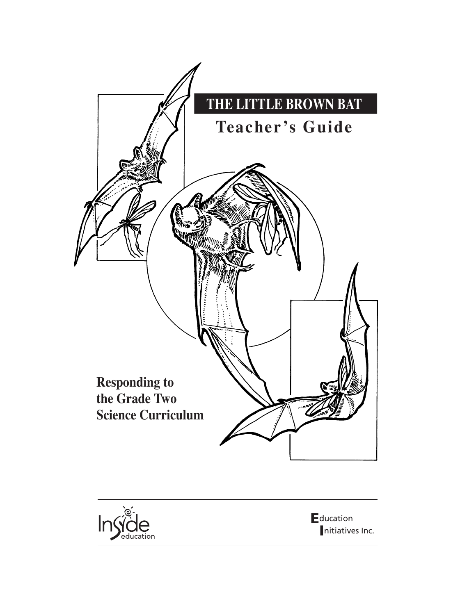



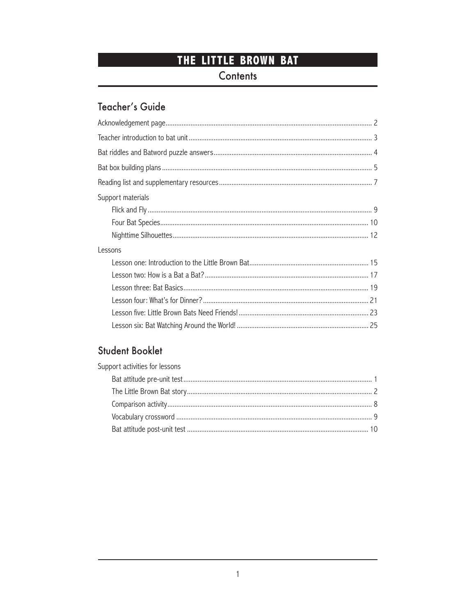# THE LITTLE BROWN BAT

## Contents

### Teacher's Guide

| Support materials |  |
|-------------------|--|
|                   |  |
|                   |  |
|                   |  |
| Lessons           |  |
|                   |  |
|                   |  |
|                   |  |
|                   |  |
|                   |  |
|                   |  |

### **Student Booklet**

| Support activities for lessons |
|--------------------------------|
|                                |
|                                |
|                                |
|                                |
|                                |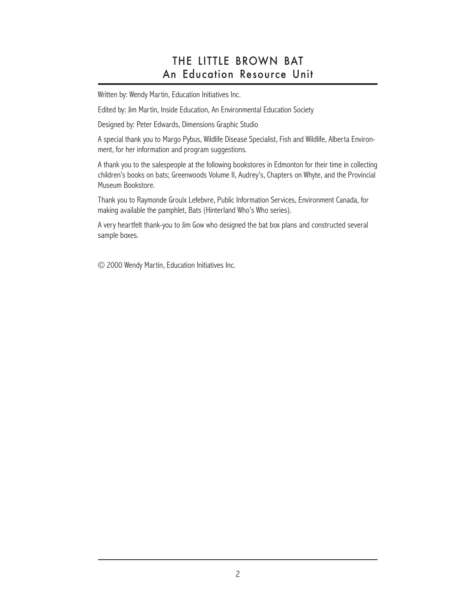### THE LITTLE BROWN BAT An Education Resource Unit

Written by: Wendy Martin, Education Initiatives Inc.

Edited by: Jim Martin, Inside Education, An Environmental Education Society

Designed by: Peter Edwards, Dimensions Graphic Studio

A special thank you to Margo Pybus, Wildlife Disease Specialist, Fish and Wildlife, Alberta Environment, for her information and program suggestions.

A thank you to the salespeople at the following bookstores in Edmonton for their time in collecting children's books on bats; Greenwoods Volume II, Audrey's, Chapters on Whyte, and the Provincial Museum Bookstore.

Thank you to Raymonde Groulx Lefebvre, Public Information Services, Environment Canada, for making available the pamphlet, Bats (Hinterland Who's Who series).

A very heartfelt thank-you to Jim Gow who designed the bat box plans and constructed several sample boxes.

© 2000 Wendy Martin, Education Initiatives Inc.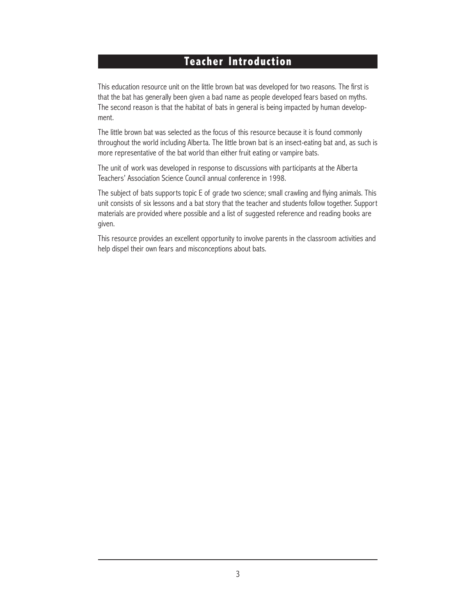#### **Teacher Introduction**

This education resource unit on the little brown bat was developed for two reasons. The first is that the bat has generally been given a bad name as people developed fears based on myths. The second reason is that the habitat of bats in general is being impacted by human development.

The little brown bat was selected as the focus of this resource because it is found commonly throughout the world including Alberta. The little brown bat is an insect-eating bat and, as such is more representative of the bat world than either fruit eating or vampire bats.

The unit of work was developed in response to discussions with participants at the Alberta Teachers' Association Science Council annual conference in 1998.

The subject of bats supports topic E of grade two science; small crawling and flying animals. This unit consists of six lessons and a bat story that the teacher and students follow together. Support materials are provided where possible and a list of suggested reference and reading books are given.

This resource provides an excellent opportunity to involve parents in the classroom activities and help dispel their own fears and misconceptions about bats.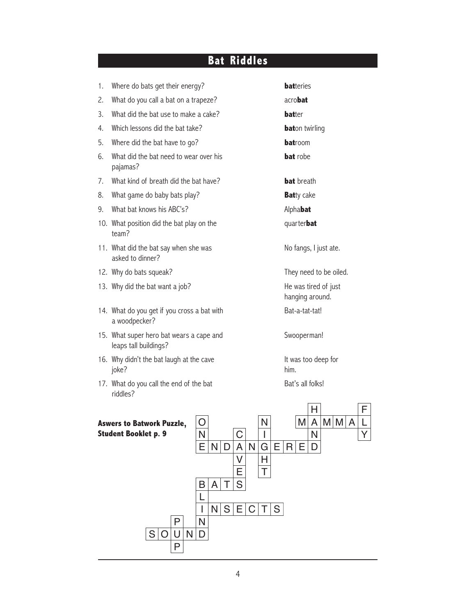### **Bat Riddles**

| 1. | Where do bats get their energy?                                   | <b>batteries</b>                        |
|----|-------------------------------------------------------------------|-----------------------------------------|
| 2. | What do you call a bat on a trapeze?                              | acrobat                                 |
| 3. | What did the bat use to make a cake?                              | <b>batter</b>                           |
| 4. | Which lessons did the bat take?                                   | <b>bat</b> on twirling                  |
| 5. | Where did the bat have to go?                                     | <b>batroom</b>                          |
| 6. | What did the bat need to wear over his<br>pajamas?                | <b>bat</b> robe                         |
| 7. | What kind of breath did the bat have?                             | <b>bat</b> breath                       |
| 8. | What game do baby bats play?                                      | <b>Batty cake</b>                       |
| 9. | What bat knows his ABC's?                                         | Alphabat                                |
|    | 10. What position did the bat play on the<br>team?                | quarter <b>bat</b>                      |
|    | 11. What did the bat say when she was<br>asked to dinner?         | No fangs, I just ate.                   |
|    | 12. Why do bats squeak?                                           | They need to be oiled.                  |
|    | 13. Why did the bat want a job?                                   | He was tired of just<br>hanging around. |
|    | 14. What do you get if you cross a bat with<br>a woodpecker?      | Bat-a-tat-tat!                          |
|    | 15. What super hero bat wears a cape and<br>leaps tall buildings? | Swooperman!                             |
|    | 16. Why didn't the bat laugh at the cave<br>joke?                 | It was too deep for<br>him.             |
|    | 17. What do you call the end of the bat                           | Bat's all folks!                        |

riddles?

**Aswers to Batwork Puzzle, Student Booklet p. 9**  $\frac{L}{I}$ B  $N$   $S$   $E$   $C$   $T$   $S$  $G$  E R E D  $\mathsf{A}\left|\mathsf{M}\right|\mathsf{M}\left|\mathsf{A}\right|$  $A$  T  $E\vert N\vert D$  $\overline{S}$ <u>S |O | U | N | D</u> N C <u>A | N</u> E  $\overline{\vee}$ N O Y L F I N  $\overline{T}$  $H$ N H M P P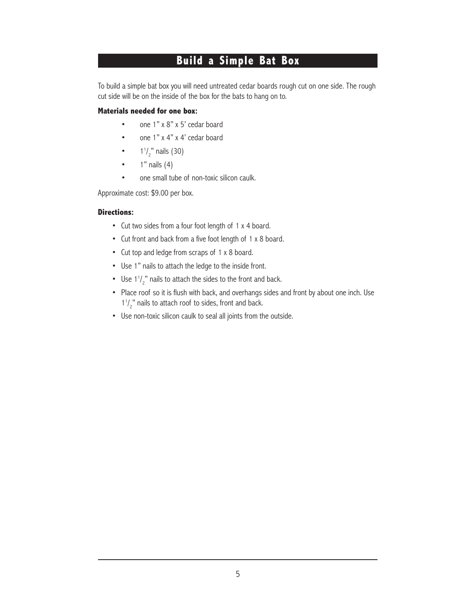### **Build a Simple Bat Box**

To build a simple bat box you will need untreated cedar boards rough cut on one side. The rough cut side will be on the inside of the box for the bats to hang on to.

#### **Materials needed for one box:**

- one 1" x 8" x 5' cedar board
- one 1" x 4" x 4' cedar board
- $1^{1}/2$ " nails (30)
	- $\bullet$  1" nails  $(4)$
	- one small tube of non-toxic silicon caulk.

Approximate cost: \$9.00 per box.

#### **Directions:**

- Cut two sides from a four foot length of 1 x 4 board.
- Cut front and back from a five foot length of 1 x 8 board.
- Cut top and ledge from scraps of 1 x 8 board.
- Use 1" nails to attach the ledge to the inside front.
- Use  $1\frac{1}{2}$ " nails to attach the sides to the front and back.
- Place roof so it is flush with back, and overhangs sides and front by about one inch. Use  $1\frac{1}{2}$ " nails to attach roof to sides, front and back.
- Use non-toxic silicon caulk to seal all joints from the outside.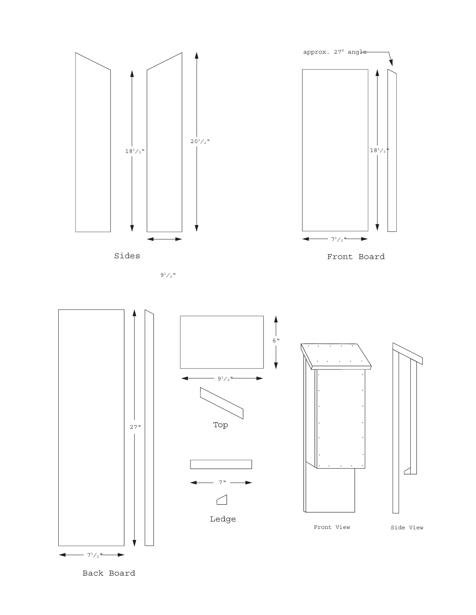

Back Board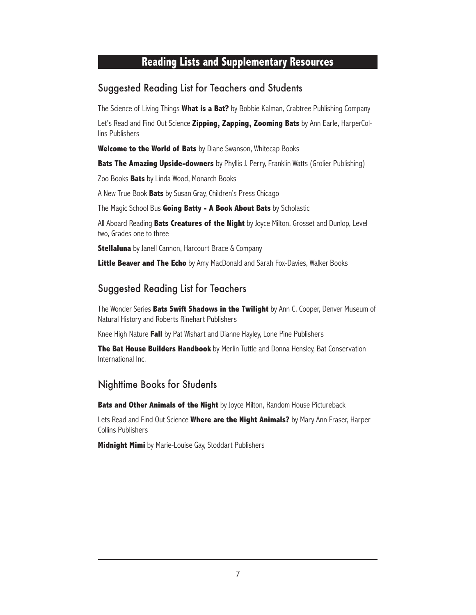#### **Reading Lists and Supplementary Resources**

#### Suggested Reading List for Teachers and Students

The Science of Living Things **What is a Bat?** by Bobbie Kalman, Crabtree Publishing Company

Let's Read and Find Out Science **Zipping, Zapping, Zooming Bats** by Ann Earle, HarperCollins Publishers

**Welcome to the World of Bats** by Diane Swanson, Whitecap Books

**Bats The Amazing Upside-downers** by Phyllis J. Perry, Franklin Watts (Grolier Publishing)

Zoo Books **Bats** by Linda Wood, Monarch Books

A New True Book **Bats** by Susan Gray, Children's Press Chicago

The Magic School Bus **Going Batty - A Book About Bats** by Scholastic

All Aboard Reading **Bats Creatures of the Night** by Joyce Milton, Grosset and Dunlop, Level two, Grades one to three

**Stellaluna** by Janell Cannon, Harcourt Brace & Company

**Little Beaver and The Echo** by Amy MacDonald and Sarah Fox-Davies, Walker Books

#### Suggested Reading List for Teachers

The Wonder Series **Bats Swift Shadows in the Twilight** by Ann C. Cooper, Denver Museum of Natural History and Roberts Rinehart Publishers

Knee High Nature **Fall** by Pat Wishart and Dianne Hayley, Lone Pine Publishers

**The Bat House Builders Handbook** by Merlin Tuttle and Donna Hensley, Bat Conservation International Inc.

#### Nighttime Books for Students

**Bats and Other Animals of the Night** by Joyce Milton, Random House Pictureback

Lets Read and Find Out Science **Where are the Night Animals?** by Mary Ann Fraser, Harper Collins Publishers

**Midnight Mimi** by Marie-Louise Gay, Stoddart Publishers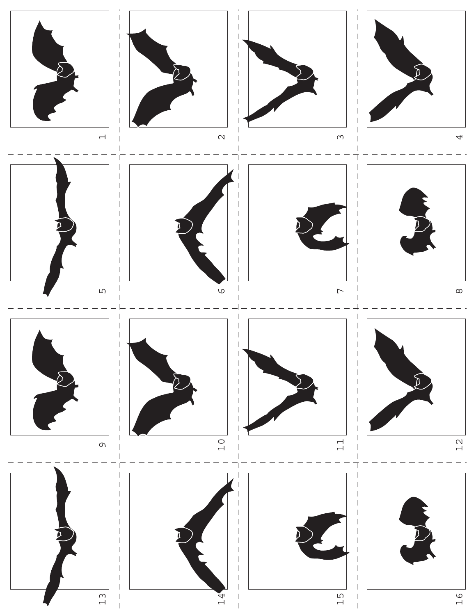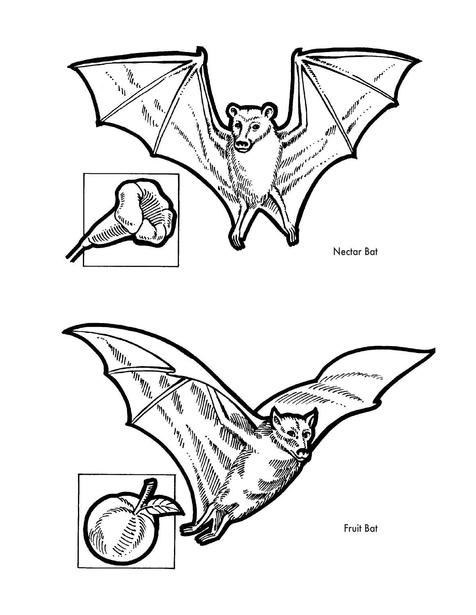

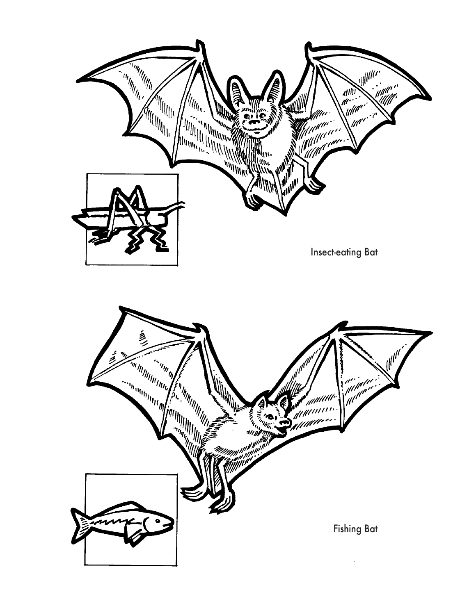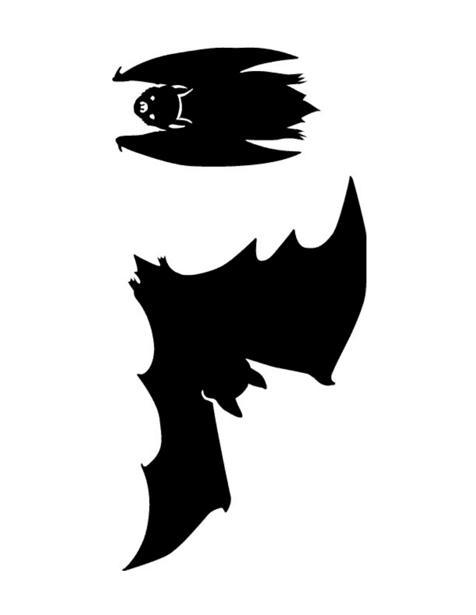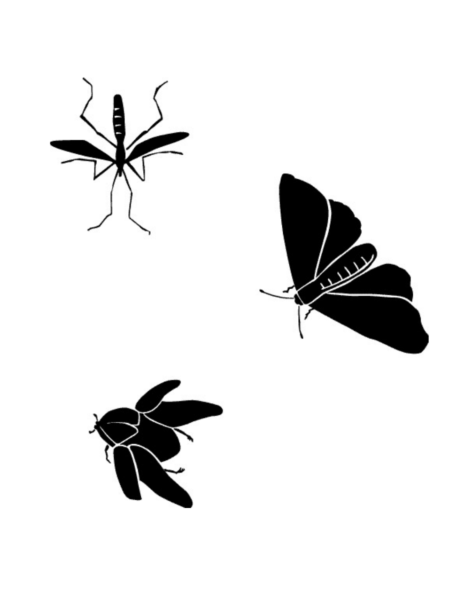



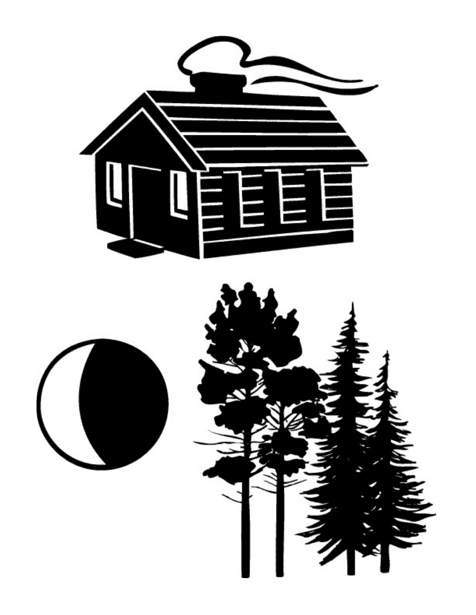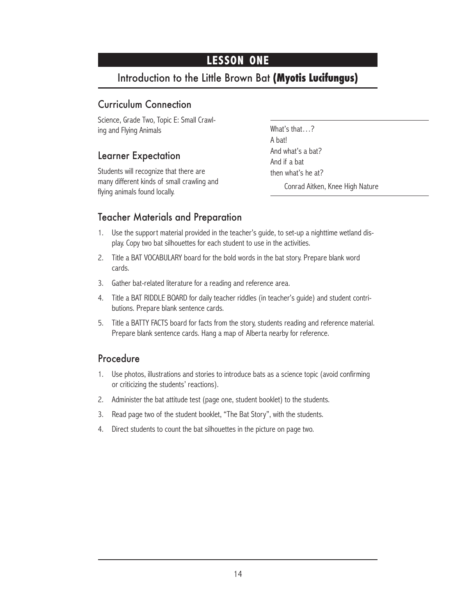### **LESSON ONE**

### Introduction to the Little Brown Bat **(Myotis Lucifungus)**

#### Curriculum Connection

Science, Grade Two, Topic E: Small Crawling and Flying Animals

#### Learner Expectation

Students will recognize that there are many different kinds of small crawling and flying animals found locally.

What's that…? A bat! And what's a bat? And if a bat then what's he at? Conrad Aitken, Knee High Nature

#### Teacher Materials and Preparation

- 1. Use the support material provided in the teacher's guide, to set-up a nighttime wetland display. Copy two bat silhouettes for each student to use in the activities.
- 2. Title a BAT VOCABULARY board for the bold words in the bat story. Prepare blank word cards.
- 3. Gather bat-related literature for a reading and reference area.
- 4. Title a BAT RIDDLE BOARD for daily teacher riddles (in teacher's guide) and student contributions. Prepare blank sentence cards.
- 5. Title a BATTY FACTS board for facts from the story, students reading and reference material. Prepare blank sentence cards. Hang a map of Alberta nearby for reference.

#### Procedure

- 1. Use photos, illustrations and stories to introduce bats as a science topic (avoid confirming or criticizing the students' reactions).
- 2. Administer the bat attitude test (page one, student booklet) to the students.
- 3. Read page two of the student booklet, "The Bat Story", with the students.
- 4. Direct students to count the bat silhouettes in the picture on page two.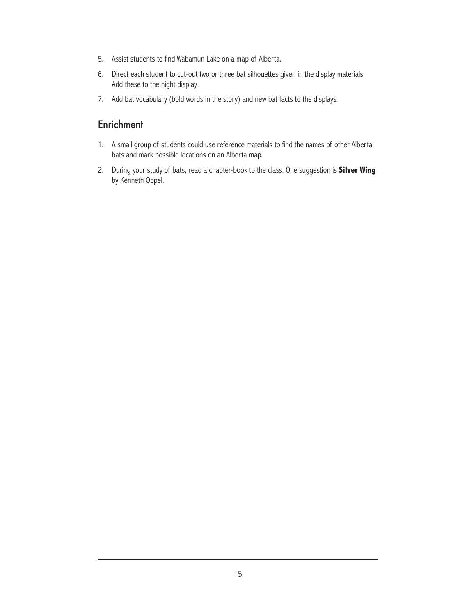- 5. Assist students to find Wabamun Lake on a map of Alberta.
- 6. Direct each student to cut-out two or three bat silhouettes given in the display materials. Add these to the night display.
- 7. Add bat vocabulary (bold words in the story) and new bat facts to the displays.

#### **Enrichment**

- 1. A small group of students could use reference materials to find the names of other Alberta bats and mark possible locations on an Alberta map.
- 2. During your study of bats, read a chapter-book to the class. One suggestion is **Silver Wing** by Kenneth Oppel.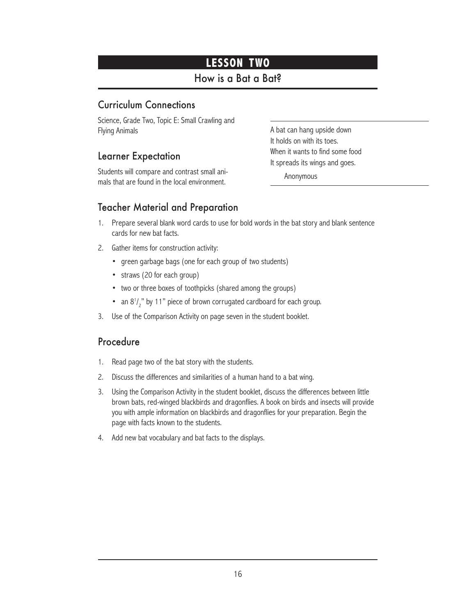### **LESSON TWO**

#### How is a Bat a Bat?

#### Curriculum Connections

Science, Grade Two, Topic E: Small Crawling and Flying Animals

#### Learner Expectation

Students will compare and contrast small animals that are found in the local environment.

A bat can hang upside down It holds on with its toes. When it wants to find some food It spreads its wings and goes.

Anonymous

#### Teacher Material and Preparation

- 1. Prepare several blank word cards to use for bold words in the bat story and blank sentence cards for new bat facts.
- 2. Gather items for construction activity:
	- green garbage bags (one for each group of two students)
	- straws (20 for each group)
	- two or three boxes of toothpicks (shared among the groups)
	- an  $8^{1}/_{2}$ " by 11" piece of brown corrugated cardboard for each group.
- 3. Use of the Comparison Activity on page seven in the student booklet.

#### Procedure

- 1. Read page two of the bat story with the students.
- 2. Discuss the differences and similarities of a human hand to a bat wing.
- 3. Using the Comparison Activity in the student booklet, discuss the differences between little brown bats, red-winged blackbirds and dragonflies. A book on birds and insects will provide you with ample information on blackbirds and dragonflies for your preparation. Begin the page with facts known to the students.
- 4. Add new bat vocabulary and bat facts to the displays.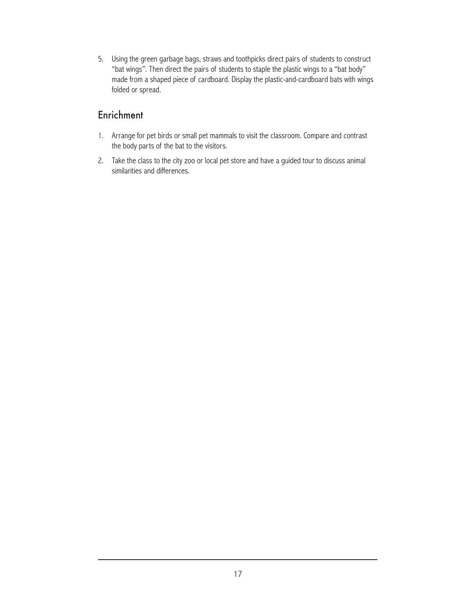5. Using the green garbage bags, straws and toothpicks direct pairs of students to construct "bat wings". Then direct the pairs of students to staple the plastic wings to a "bat body" made from a shaped piece of cardboard. Display the plastic-and-cardboard bats with wings folded or spread.

#### Enrichment

- 1. Arrange for pet birds or small pet mammals to visit the classroom. Compare and contrast the body parts of the bat to the visitors.
- 2. Take the class to the city zoo or local pet store and have a guided tour to discuss animal similarities and differences.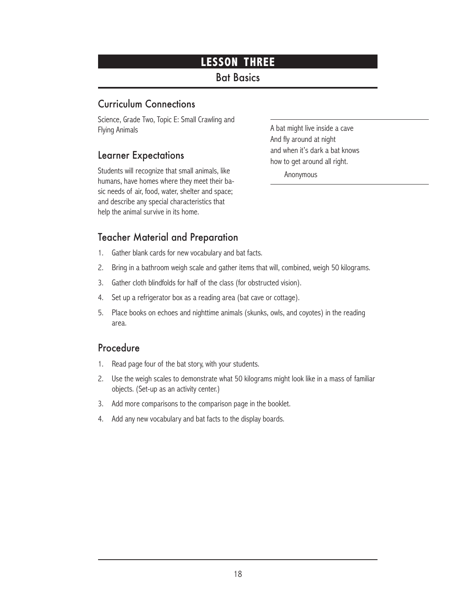### **LESSON THREE**

#### Bat Basics

#### Curriculum Connections

Science, Grade Two, Topic E: Small Crawling and Flying Animals

#### Learner Expectations

Students will recognize that small animals, like humans, have homes where they meet their basic needs of air, food, water, shelter and space; and describe any special characteristics that help the animal survive in its home.

A bat might live inside a cave And fly around at night and when it's dark a bat knows how to get around all right.

Anonymous

#### Teacher Material and Preparation

- 1. Gather blank cards for new vocabulary and bat facts.
- 2. Bring in a bathroom weigh scale and gather items that will, combined, weigh 50 kilograms.
- 3. Gather cloth blindfolds for half of the class (for obstructed vision).
- 4. Set up a refrigerator box as a reading area (bat cave or cottage).
- 5. Place books on echoes and nighttime animals (skunks, owls, and coyotes) in the reading area.

#### Procedure

- 1. Read page four of the bat story, with your students.
- 2. Use the weigh scales to demonstrate what 50 kilograms might look like in a mass of familiar objects. (Set-up as an activity center.)
- 3. Add more comparisons to the comparison page in the booklet.
- 4. Add any new vocabulary and bat facts to the display boards.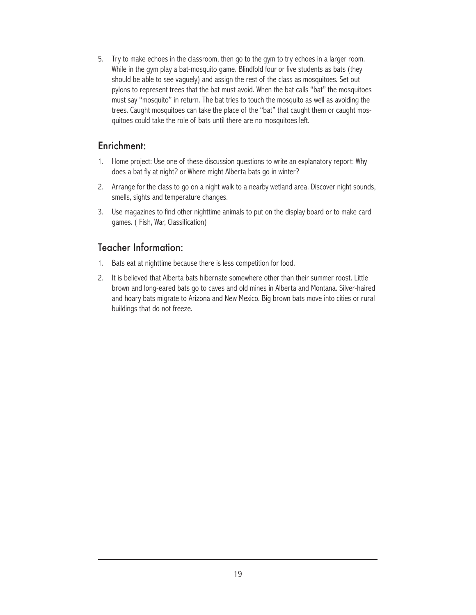5. Try to make echoes in the classroom, then go to the gym to try echoes in a larger room. While in the gym play a bat-mosquito game. Blindfold four or five students as bats (they should be able to see vaguely) and assign the rest of the class as mosquitoes. Set out pylons to represent trees that the bat must avoid. When the bat calls "bat" the mosquitoes must say "mosquito" in return. The bat tries to touch the mosquito as well as avoiding the trees. Caught mosquitoes can take the place of the "bat" that caught them or caught mosquitoes could take the role of bats until there are no mosquitoes left.

#### Enrichment:

- 1. Home project: Use one of these discussion questions to write an explanatory report: Why does a bat fly at night? or Where might Alberta bats go in winter?
- 2. Arrange for the class to go on a night walk to a nearby wetland area. Discover night sounds, smells, sights and temperature changes.
- 3. Use magazines to find other nighttime animals to put on the display board or to make card games. ( Fish, War, Classification)

#### Teacher Information:

- 1. Bats eat at nighttime because there is less competition for food.
- 2. It is believed that Alberta bats hibernate somewhere other than their summer roost. Little brown and long-eared bats go to caves and old mines in Alberta and Montana. Silver-haired and hoary bats migrate to Arizona and New Mexico. Big brown bats move into cities or rural buildings that do not freeze.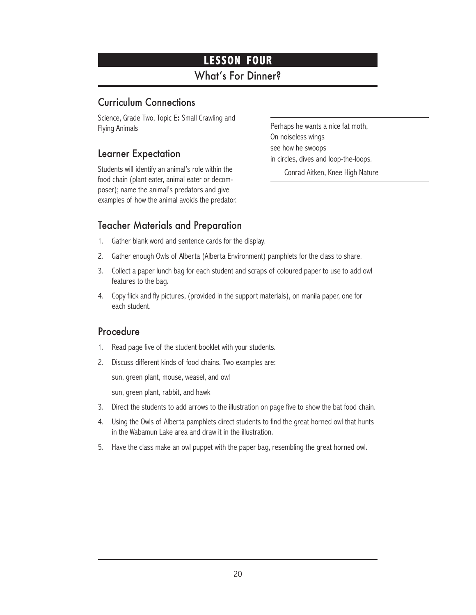## **LESSON FOUR**

### What's For Dinner?

#### Curriculum Connections

Science, Grade Two, Topic E**:** Small Crawling and Flying Animals

#### Learner Expectation

Students will identify an animal's role within the food chain (plant eater, animal eater or decomposer); name the animal's predators and give examples of how the animal avoids the predator.

Perhaps he wants a nice fat moth, On noiseless wings see how he swoops in circles, dives and loop-the-loops. Conrad Aitken, Knee High Nature

#### Teacher Materials and Preparation

- 1. Gather blank word and sentence cards for the display.
- 2. Gather enough Owls of Alberta (Alberta Environment) pamphlets for the class to share.
- 3. Collect a paper lunch bag for each student and scraps of coloured paper to use to add owl features to the bag.
- 4. Copy flick and fly pictures, (provided in the support materials), on manila paper, one for each student.

#### Procedure

- 1. Read page five of the student booklet with your students.
- 2. Discuss different kinds of food chains. Two examples are:

sun, green plant, mouse, weasel, and owl

sun, green plant, rabbit, and hawk

- 3. Direct the students to add arrows to the illustration on page five to show the bat food chain.
- 4. Using the Owls of Alberta pamphlets direct students to find the great horned owl that hunts in the Wabamun Lake area and draw it in the illustration.
- 5. Have the class make an owl puppet with the paper bag, resembling the great horned owl.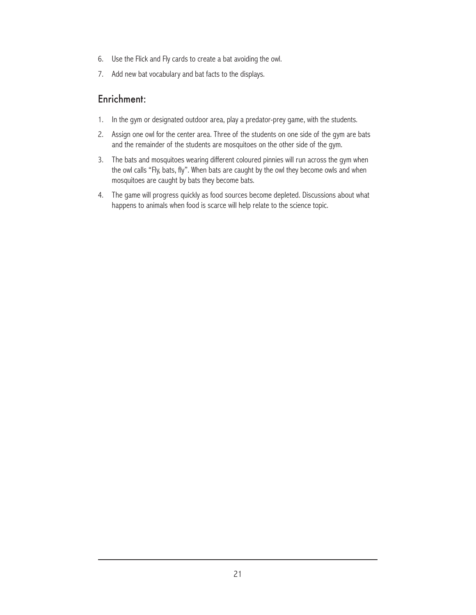- 6. Use the Flick and Fly cards to create a bat avoiding the owl.
- 7. Add new bat vocabulary and bat facts to the displays.

#### Enrichment:

- 1. In the gym or designated outdoor area, play a predator-prey game, with the students.
- 2. Assign one owl for the center area. Three of the students on one side of the gym are bats and the remainder of the students are mosquitoes on the other side of the gym.
- 3. The bats and mosquitoes wearing different coloured pinnies will run across the gym when the owl calls "Fly, bats, fly". When bats are caught by the owl they become owls and when mosquitoes are caught by bats they become bats.
- 4. The game will progress quickly as food sources become depleted. Discussions about what happens to animals when food is scarce will help relate to the science topic.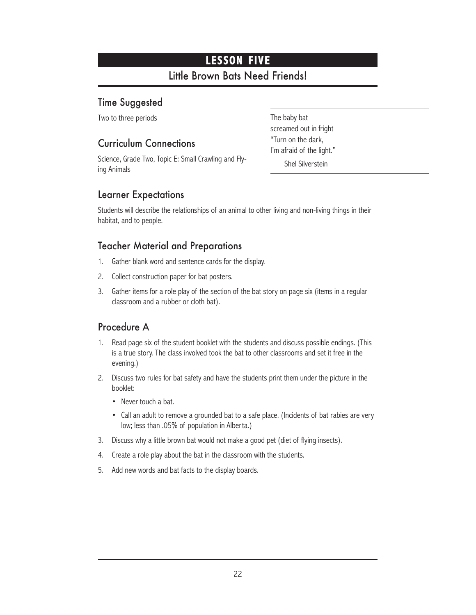## **LESSON FIVE**

Little Brown Bats Need Friends!

#### Time Suggested

Two to three periods

#### Curriculum Connections

Science, Grade Two, Topic E: Small Crawling and Flying Animals

The baby bat screamed out in fright "Turn on the dark, I'm afraid of the light." Shel Silverstein

#### Learner Expectations

Students will describe the relationships of an animal to other living and non-living things in their habitat, and to people.

#### Teacher Material and Preparations

- 1. Gather blank word and sentence cards for the display.
- 2. Collect construction paper for bat posters.
- 3. Gather items for a role play of the section of the bat story on page six (items in a regular classroom and a rubber or cloth bat).

### Procedure A

- 1. Read page six of the student booklet with the students and discuss possible endings. (This is a true story. The class involved took the bat to other classrooms and set it free in the evening.)
- 2. Discuss two rules for bat safety and have the students print them under the picture in the booklet:
	- Never touch a bat.
	- Call an adult to remove a grounded bat to a safe place. (Incidents of bat rabies are very low; less than .05% of population in Alberta.)
- 3. Discuss why a little brown bat would not make a good pet (diet of flying insects).
- 4. Create a role play about the bat in the classroom with the students.
- 5. Add new words and bat facts to the display boards.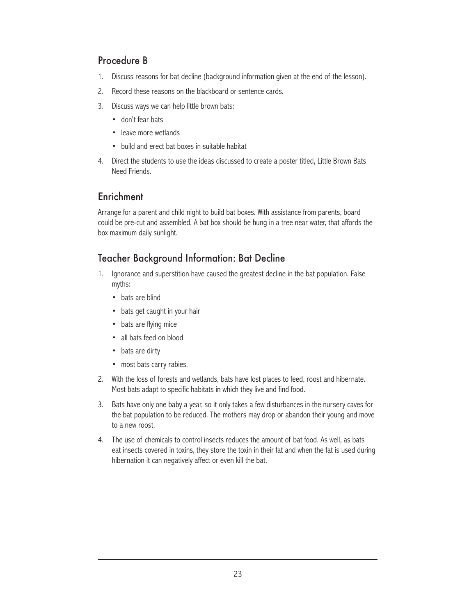#### Procedure B

- 1. Discuss reasons for bat decline (background information given at the end of the lesson).
- 2. Record these reasons on the blackboard or sentence cards.
- 3. Discuss ways we can help little brown bats:
	- don't fear bats
	- leave more wetlands
	- build and erect bat boxes in suitable habitat
- 4. Direct the students to use the ideas discussed to create a poster titled, Little Brown Bats Need Friends.

#### **Enrichment**

Arrange for a parent and child night to build bat boxes. With assistance from parents, board could be pre-cut and assembled. A bat box should be hung in a tree near water, that affords the box maximum daily sunlight.

#### Teacher Background Information: Bat Decline

- 1. Ignorance and superstition have caused the greatest decline in the bat population. False myths:
	- bats are blind
	- bats get caught in your hair
	- bats are flying mice
	- all bats feed on blood
	- bats are dirty
	- most bats carry rabies.
- 2. With the loss of forests and wetlands, bats have lost places to feed, roost and hibernate. Most bats adapt to specific habitats in which they live and find food.
- 3. Bats have only one baby a year, so it only takes a few disturbances in the nursery caves for the bat population to be reduced. The mothers may drop or abandon their young and move to a new roost.
- 4. The use of chemicals to control insects reduces the amount of bat food. As well, as bats eat insects covered in toxins, they store the toxin in their fat and when the fat is used during hibernation it can negatively affect or even kill the bat.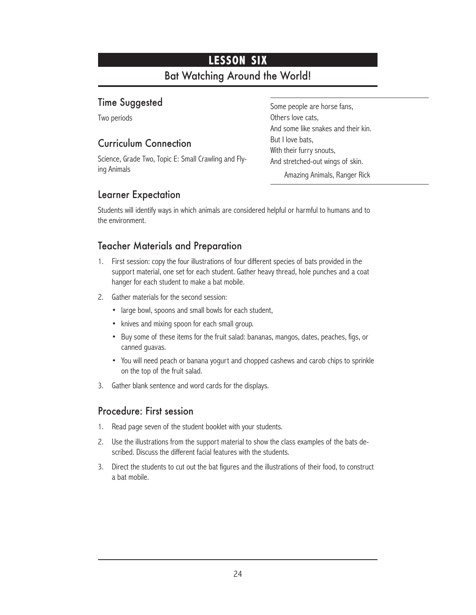## **LESSON SIX**

Bat Watching Around the World!

#### Time Suggested

Two periods

#### Curriculum Connection

Science, Grade Two, Topic E: Small Crawling and Flying Animals

Some people are horse fans, Others love cats, And some like snakes and their kin. But I love bats, With their furry snouts, And stretched-out wings of skin. Amazing Animals, Ranger Rick

#### Learner Expectation

Students will identify ways in which animals are considered helpful or harmful to humans and to the environment.

### Teacher Materials and Preparation

- 1. First session: copy the four illustrations of four different species of bats provided in the support material, one set for each student. Gather heavy thread, hole punches and a coat hanger for each student to make a bat mobile.
- 2. Gather materials for the second session:
	- large bowl, spoons and small bowls for each student,
	- knives and mixing spoon for each small group.
	- Buy some of these items for the fruit salad: bananas, mangos, dates, peaches, figs, or canned guavas.
	- You will need peach or banana yogurt and chopped cashews and carob chips to sprinkle on the top of the fruit salad.
- 3. Gather blank sentence and word cards for the displays.

#### Procedure: First session

- 1. Read page seven of the student booklet with your students.
- 2. Use the illustrations from the support material to show the class examples of the bats described. Discuss the different facial features with the students.
- 3. Direct the students to cut out the bat figures and the illustrations of their food, to construct a bat mobile.